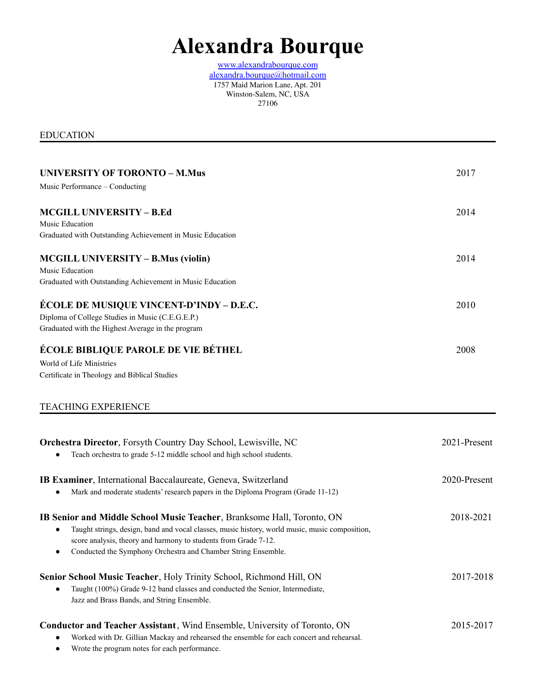## **Alexandra Bourque**

[www.alexandrabourque.com](http://www.alexandrabourque.com) alexandra.bourque@hotmail.com 1757 Maid Marion Lane, Apt. 201 Winston-Salem, NC, USA 27106

EDUCATION

| <b>UNIVERSITY OF TORONTO - M.Mus</b>                                                           | 2017         |
|------------------------------------------------------------------------------------------------|--------------|
| Music Performance - Conducting                                                                 |              |
| <b>MCGILL UNIVERSITY - B.Ed</b>                                                                | 2014         |
| <b>Music Education</b>                                                                         |              |
| Graduated with Outstanding Achievement in Music Education                                      |              |
| <b>MCGILL UNIVERSITY – B.Mus (violin)</b>                                                      | 2014         |
| Music Education                                                                                |              |
| Graduated with Outstanding Achievement in Music Education                                      |              |
| ÉCOLE DE MUSIQUE VINCENT-D'INDY – D.E.C.                                                       | 2010         |
| Diploma of College Studies in Music (C.E.G.E.P.)                                               |              |
| Graduated with the Highest Average in the program                                              |              |
| ÉCOLE BIBLIQUE PAROLE DE VIE BÉTHEL                                                            | 2008         |
| World of Life Ministries                                                                       |              |
| Certificate in Theology and Biblical Studies                                                   |              |
| <b>TEACHING EXPERIENCE</b>                                                                     |              |
| <b>Orchestra Director</b> , Forsyth Country Day School, Lewisville, NC                         | 2021-Present |
| Teach orchestra to grade 5-12 middle school and high school students.                          |              |
| IB Examiner, International Baccalaureate, Geneva, Switzerland                                  | 2020-Present |
| Mark and moderate students' research papers in the Diploma Program (Grade 11-12)               |              |
|                                                                                                |              |
| IB Senior and Middle School Music Teacher, Branksome Hall, Toronto, ON                         | 2018-2021    |
| Taught strings, design, band and vocal classes, music history, world music, music composition, |              |
| score analysis, theory and harmony to students from Grade 7-12.                                |              |
| Conducted the Symphony Orchestra and Chamber String Ensemble.                                  |              |
| Senior School Music Teacher, Holy Trinity School, Richmond Hill, ON                            | 2017-2018    |
| Taught (100%) Grade 9-12 band classes and conducted the Senior, Intermediate,                  |              |
| Jazz and Brass Bands, and String Ensemble.                                                     |              |
| <b>Conductor and Teacher Assistant</b> , Wind Ensemble, University of Toronto, ON              | 2015-2017    |
| Worked with Dr. Gillian Mackay and rehearsed the ensemble for each concert and rehearsal.      |              |
|                                                                                                |              |

● Wrote the program notes for each performance.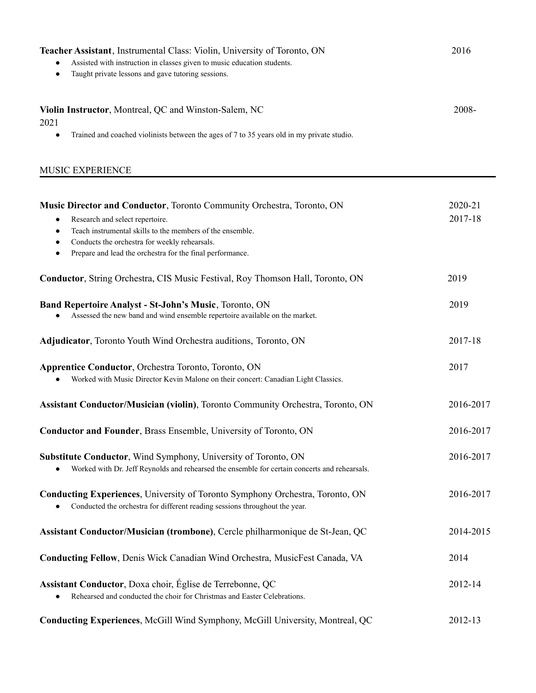| Teacher Assistant, Instrumental Class: Violin, University of Toronto, ON<br>Assisted with instruction in classes given to music education students.<br>Taught private lessons and gave tutoring sessions.<br>$\bullet$                                                                            | 2016               |
|---------------------------------------------------------------------------------------------------------------------------------------------------------------------------------------------------------------------------------------------------------------------------------------------------|--------------------|
| Violin Instructor, Montreal, QC and Winston-Salem, NC<br>2021                                                                                                                                                                                                                                     | 2008-              |
| Trained and coached violinists between the ages of 7 to 35 years old in my private studio.<br>$\bullet$                                                                                                                                                                                           |                    |
| MUSIC EXPERIENCE                                                                                                                                                                                                                                                                                  |                    |
| Music Director and Conductor, Toronto Community Orchestra, Toronto, ON<br>Research and select repertoire.<br>Teach instrumental skills to the members of the ensemble.<br>Conducts the orchestra for weekly rehearsals.<br>Prepare and lead the orchestra for the final performance.<br>$\bullet$ | 2020-21<br>2017-18 |
| Conductor, String Orchestra, CIS Music Festival, Roy Thomson Hall, Toronto, ON                                                                                                                                                                                                                    | 2019               |
| Band Repertoire Analyst - St-John's Music, Toronto, ON<br>Assessed the new band and wind ensemble repertoire available on the market.                                                                                                                                                             | 2019               |
| Adjudicator, Toronto Youth Wind Orchestra auditions, Toronto, ON                                                                                                                                                                                                                                  | 2017-18            |
| <b>Apprentice Conductor, Orchestra Toronto, Toronto, ON</b><br>Worked with Music Director Kevin Malone on their concert: Canadian Light Classics.                                                                                                                                                 | 2017               |
| <b>Assistant Conductor/Musician (violin)</b> , Toronto Community Orchestra, Toronto, ON                                                                                                                                                                                                           | 2016-2017          |
| Conductor and Founder, Brass Ensemble, University of Toronto, ON                                                                                                                                                                                                                                  | 2016-2017          |
| Substitute Conductor, Wind Symphony, University of Toronto, ON<br>Worked with Dr. Jeff Reynolds and rehearsed the ensemble for certain concerts and rehearsals.                                                                                                                                   | 2016-2017          |
| <b>Conducting Experiences</b> , University of Toronto Symphony Orchestra, Toronto, ON<br>Conducted the orchestra for different reading sessions throughout the year.                                                                                                                              | 2016-2017          |
| Assistant Conductor/Musician (trombone), Cercle philharmonique de St-Jean, QC                                                                                                                                                                                                                     | 2014-2015          |
| Conducting Fellow, Denis Wick Canadian Wind Orchestra, MusicFest Canada, VA                                                                                                                                                                                                                       | 2014               |
| Assistant Conductor, Doxa choir, Église de Terrebonne, QC<br>Rehearsed and conducted the choir for Christmas and Easter Celebrations.                                                                                                                                                             | 2012-14            |
| Conducting Experiences, McGill Wind Symphony, McGill University, Montreal, QC                                                                                                                                                                                                                     | 2012-13            |